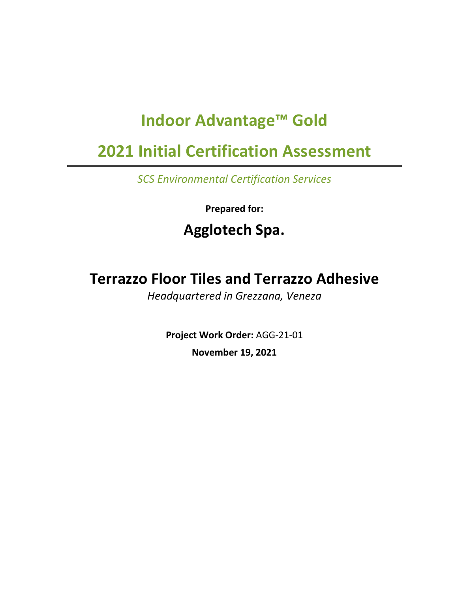# **Indoor Advantage™ Gold**

# **2021 Initial Certification Assessment**

*SCS Environmental Certification Services*

**Prepared for:**

# **Agglotech Spa.**

# **Terrazzo Floor Tiles and Terrazzo Adhesive**

*Headquartered in Grezzana, Veneza*

**Project Work Order:** AGG-21-01 **November 19, 2021**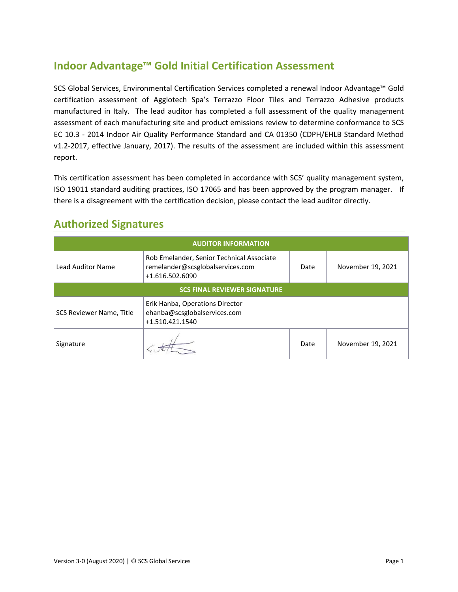## **Indoor Advantage™ Gold Initial Certification Assessment**

SCS Global Services, Environmental Certification Services completed a renewal Indoor Advantage™ Gold certification assessment of Agglotech Spa's Terrazzo Floor Tiles and Terrazzo Adhesive products manufactured in Italy. The lead auditor has completed a full assessment of the quality management assessment of each manufacturing site and product emissions review to determine conformance to SCS EC 10.3 - 2014 Indoor Air Quality Performance Standard and CA 01350 (CDPH/EHLB Standard Method v1.2-2017, effective January, 2017). The results of the assessment are included within this assessment report.

This certification assessment has been completed in accordance with SCS' quality management system, ISO 19011 standard auditing practices, ISO 17065 and has been approved by the program manager. If there is a disagreement with the certification decision, please contact the lead auditor directly.

| <b>AUDITOR INFORMATION</b>          |                                                                                                  |      |                   |  |  |
|-------------------------------------|--------------------------------------------------------------------------------------------------|------|-------------------|--|--|
| <b>Lead Auditor Name</b>            | Rob Emelander, Senior Technical Associate<br>remelander@scsglobalservices.com<br>+1.616.502.6090 |      | November 19, 2021 |  |  |
| <b>SCS FINAL REVIEWER SIGNATURE</b> |                                                                                                  |      |                   |  |  |
| SCS Reviewer Name, Title            |                                                                                                  |      |                   |  |  |
| Signature                           |                                                                                                  | Date | November 19, 2021 |  |  |

## **Authorized Signatures**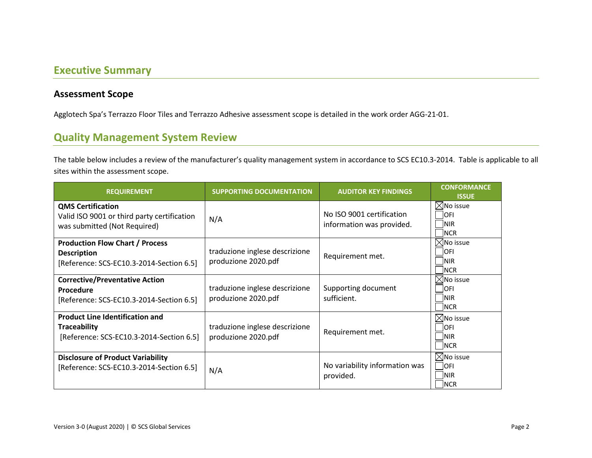### **Executive Summary**

#### **Assessment Scope**

Agglotech Spa's Terrazzo Floor Tiles and Terrazzo Adhesive assessment scope is detailed in the work order AGG-21-01.

## **Quality Management System Review**

The table below includes a review of the manufacturer's quality management system in accordance to SCS EC10.3-2014. Table is applicable to all sites within the assessment scope.

| <b>REQUIREMENT</b>                                                                                        | <b>SUPPORTING DOCUMENTATION</b>                               | <b>AUDITOR KEY FINDINGS</b>                 | <b>CONFORMANCE</b><br><b>ISSUE</b>                              |
|-----------------------------------------------------------------------------------------------------------|---------------------------------------------------------------|---------------------------------------------|-----------------------------------------------------------------|
| <b>QMS Certification</b><br>Valid ISO 9001 or third party certification<br>was submitted (Not Required)   | No ISO 9001 certification<br>N/A<br>information was provided. |                                             | $\boxtimes$ No issue<br><b>OFI</b><br> NIR<br>NCR               |
| <b>Production Flow Chart / Process</b><br><b>Description</b><br>[Reference: SCS-EC10.3-2014-Section 6.5]  | traduzione inglese descrizione<br>produzione 2020.pdf         | Requirement met.                            | $\boxtimes$ No issue<br><b>OFI</b><br><b>NIR</b><br><b>INCR</b> |
| <b>Corrective/Preventative Action</b><br>Procedure<br>[Reference: SCS-EC10.3-2014-Section 6.5]            | traduzione inglese descrizione<br>produzione 2020.pdf         | Supporting document<br>sufficient.          | $\times$ No issue<br><b>OFI</b><br><b>INIR</b><br>NCR           |
| <b>Product Line Identification and</b><br><b>Traceability</b><br>[Reference: SCS-EC10.3-2014-Section 6.5] | traduzione inglese descrizione<br>produzione 2020.pdf         | Requirement met.                            |                                                                 |
| <b>Disclosure of Product Variability</b><br>[Reference: SCS-EC10.3-2014-Section 6.5]                      | N/A                                                           | No variability information was<br>provided. | $\boxtimes$ No issue<br><b>OFI</b><br><b>INIR</b><br><b>NCR</b> |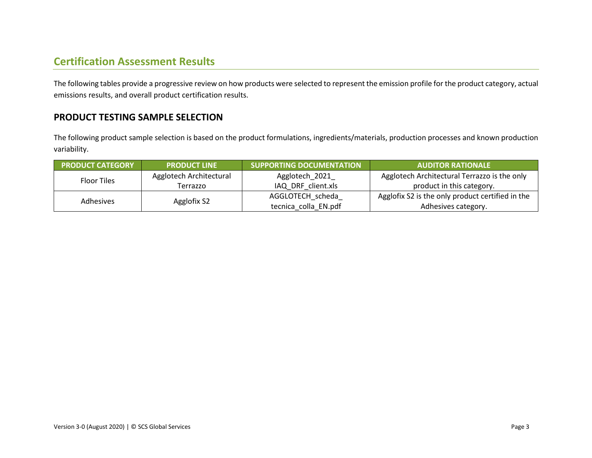## **Certification Assessment Results**

The following tables provide a progressive review on how products were selected to represent the emission profile for the product category, actual emissions results, and overall product certification results.

### **PRODUCT TESTING SAMPLE SELECTION**

The following product sample selection is based on the product formulations, ingredients/materials, production processes and known production variability.

| <b>PRODUCT CATEGORY</b> | <b>PRODUCT LINE</b>     | <b>SUPPORTING DOCUMENTATION</b> | <b>AUDITOR RATIONALE</b>                         |
|-------------------------|-------------------------|---------------------------------|--------------------------------------------------|
| <b>Floor Tiles</b>      | Agglotech Architectural | Agglotech_2021                  | Agglotech Architectural Terrazzo is the only     |
|                         | Terrazzo                | IAQ DRF client.xls              | product in this category.                        |
| <b>Adhesives</b>        |                         | AGGLOTECH scheda                | Agglofix S2 is the only product certified in the |
|                         | Agglofix S2             | tecnica colla EN.pdf            | Adhesives category.                              |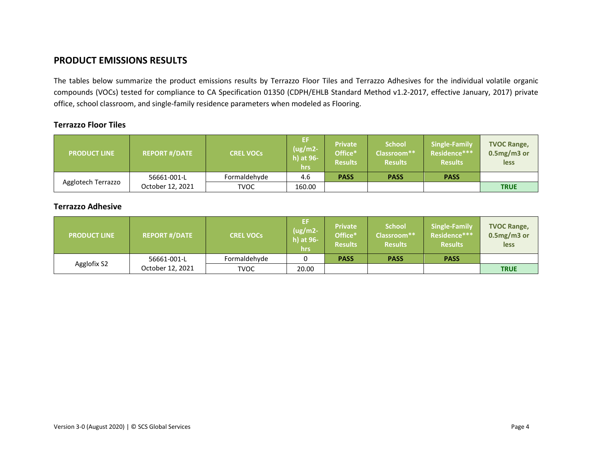### **PRODUCT EMISSIONS RESULTS**

The tables below summarize the product emissions results by Terrazzo Floor Tiles and Terrazzo Adhesives for the individual volatile organic compounds (VOCs) tested for compliance to CA Specification 01350 (CDPH/EHLB Standard Method v1.2-2017, effective January, 2017) private office, school classroom, and single-family residence parameters when modeled as Flooring.

#### **Terrazzo Floor Tiles**

| <b>PRODUCT LINE</b> | <b>REPORT #/DATE</b> | <b>CREL VOCs</b> | EF<br>$(ug/m2-$<br>h) at 96-<br><b>hrs</b> | Private<br>Office*<br><b>Results</b> | <b>School</b><br>Classroom**<br><b>Results</b> | Single-Family<br>Residence***<br><b>Results</b> | <b>TVOC Range,</b><br>$0.5mg/m3$ or<br>less |
|---------------------|----------------------|------------------|--------------------------------------------|--------------------------------------|------------------------------------------------|-------------------------------------------------|---------------------------------------------|
|                     | 56661-001-L          | Formaldehyde     | 4.6                                        | <b>PASS</b>                          | <b>PASS</b>                                    | <b>PASS</b>                                     |                                             |
| Agglotech Terrazzo  | October 12, 2021     | TVOC             | 160.00                                     |                                      |                                                |                                                 | <b>TRUE</b>                                 |

#### **Terrazzo Adhesive**

| <b>PRODUCT LINE</b> | <b>REPORT #/DATE</b> | <b>CREL VOCS</b> | -EF<br>$(ug/m2-$<br>h) at 96-<br>hrs | Private<br>Office*<br><b>Results</b> | <b>School</b><br>Classroom**<br><b>Results</b> | Single-Family<br>Residence***<br><b>Results</b> | <b>TVOC Range,</b><br>$0.5mg/m3$ or<br><b>less</b> |
|---------------------|----------------------|------------------|--------------------------------------|--------------------------------------|------------------------------------------------|-------------------------------------------------|----------------------------------------------------|
|                     | 56661-001-L          | Formaldehyde     |                                      | <b>PASS</b>                          | <b>PASS</b>                                    | <b>PASS</b>                                     |                                                    |
| Agglofix S2         | October 12, 2021     | TVOC             | 20.00                                |                                      |                                                |                                                 | <b>TRUE</b>                                        |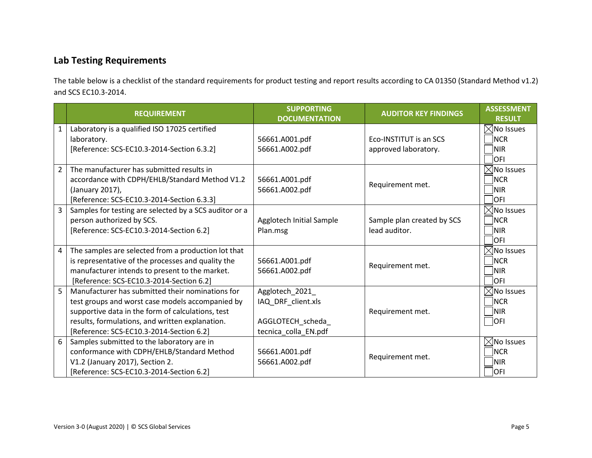## **Lab Testing Requirements**

The table below is a checklist of the standard requirements for product testing and report results according to CA 01350 (Standard Method v1.2) and SCS EC10.3-2014.

|                | <b>REQUIREMENT</b>                                     | <b>SUPPORTING</b><br><b>DOCUMENTATION</b> | <b>AUDITOR KEY FINDINGS</b> | <b>ASSESSMENT</b><br><b>RESULT</b> |
|----------------|--------------------------------------------------------|-------------------------------------------|-----------------------------|------------------------------------|
| $\mathbf{1}$   | Laboratory is a qualified ISO 17025 certified          |                                           |                             | $\boxtimes$ No Issues              |
|                | laboratory.                                            | 56661.A001.pdf                            | Eco-INSTITUT is an SCS      | <b>NCR</b>                         |
|                | [Reference: SCS-EC10.3-2014-Section 6.3.2]             | 56661.A002.pdf                            | approved laboratory.        | <b>NIR</b>                         |
|                |                                                        |                                           |                             | OFI                                |
| $\overline{2}$ | The manufacturer has submitted results in              |                                           |                             | $\boxtimes$ No Issues              |
|                | accordance with CDPH/EHLB/Standard Method V1.2         | 56661.A001.pdf                            | Requirement met.            | <b>NCR</b>                         |
|                | (January 2017),                                        | 56661.A002.pdf                            |                             | <b>NIR</b>                         |
|                | [Reference: SCS-EC10.3-2014-Section 6.3.3]             |                                           |                             | OFI                                |
| 3              | Samples for testing are selected by a SCS auditor or a |                                           |                             | $\boxtimes$ No Issues              |
|                | person authorized by SCS.                              | Agglotech Initial Sample                  | Sample plan created by SCS  | <b>NCR</b>                         |
|                | [Reference: SCS-EC10.3-2014-Section 6.2]               | Plan.msg                                  | lead auditor.               | <b>NIR</b>                         |
|                |                                                        |                                           |                             | OFI                                |
| 4              | The samples are selected from a production lot that    |                                           |                             | $\boxtimes$ No Issues              |
|                | is representative of the processes and quality the     | 56661.A001.pdf                            | Requirement met.            | <b>NCR</b>                         |
|                | manufacturer intends to present to the market.         | 56661.A002.pdf                            |                             | <b>NIR</b>                         |
|                | [Reference: SCS-EC10.3-2014-Section 6.2]               |                                           |                             | OFI.                               |
| 5              | Manufacturer has submitted their nominations for       | Agglotech_2021_                           |                             | $\boxtimes$ No Issues              |
|                | test groups and worst case models accompanied by       | IAQ_DRF_client.xls                        |                             | <b>NCR</b>                         |
|                | supportive data in the form of calculations, test      |                                           | Requirement met.            | <b>NIR</b>                         |
|                | results, formulations, and written explanation.        | AGGLOTECH_scheda_                         |                             | OFI                                |
|                | [Reference: SCS-EC10.3-2014-Section 6.2]               | tecnica_colla_EN.pdf                      |                             |                                    |
| 6              | Samples submitted to the laboratory are in             |                                           |                             | $\boxtimes$ No Issues              |
|                | conformance with CDPH/EHLB/Standard Method             | 56661.A001.pdf                            | Requirement met.            | <b>NCR</b>                         |
|                | V1.2 (January 2017), Section 2.                        | 56661.A002.pdf                            |                             | NIR                                |
|                | [Reference: SCS-EC10.3-2014-Section 6.2]               |                                           |                             | <b>OFI</b>                         |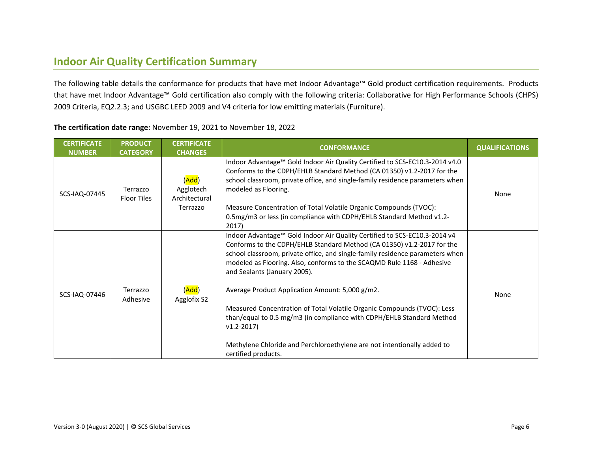## **Indoor Air Quality Certification Summary**

The following table details the conformance for products that have met Indoor Advantage™ Gold product certification requirements. Products that have met Indoor Advantage™ Gold certification also comply with the following criteria: Collaborative for High Performance Schools (CHPS) 2009 Criteria, EQ2.2.3; and USGBC LEED 2009 and V4 criteria for low emitting materials (Furniture).

| <b>CERTIFICATE</b><br><b>NUMBER</b> | <b>PRODUCT</b><br><b>CATEGORY</b> | <b>CERTIFICATE</b><br><b>CHANGES</b>            | <b>CONFORMANCE</b>                                                                                                                                                                                                                                                                                                                                                                                                                                                                                                                                                                                                                                                       | <b>QUALIFICATIONS</b> |
|-------------------------------------|-----------------------------------|-------------------------------------------------|--------------------------------------------------------------------------------------------------------------------------------------------------------------------------------------------------------------------------------------------------------------------------------------------------------------------------------------------------------------------------------------------------------------------------------------------------------------------------------------------------------------------------------------------------------------------------------------------------------------------------------------------------------------------------|-----------------------|
| SCS-IAQ-07445                       | Terrazzo<br><b>Floor Tiles</b>    | (Add)<br>Agglotech<br>Architectural<br>Terrazzo | Indoor Advantage™ Gold Indoor Air Quality Certified to SCS-EC10.3-2014 v4.0<br>Conforms to the CDPH/EHLB Standard Method (CA 01350) v1.2-2017 for the<br>school classroom, private office, and single-family residence parameters when<br>modeled as Flooring.<br>Measure Concentration of Total Volatile Organic Compounds (TVOC):<br>0.5mg/m3 or less (in compliance with CDPH/EHLB Standard Method v1.2-<br>2017)                                                                                                                                                                                                                                                     | None                  |
| SCS-IAQ-07446                       | Terrazzo<br>Adhesive              | ( <mark>Add</mark> )<br>Agglofix S2             | Indoor Advantage™ Gold Indoor Air Quality Certified to SCS-EC10.3-2014 v4<br>Conforms to the CDPH/EHLB Standard Method (CA 01350) v1.2-2017 for the<br>school classroom, private office, and single-family residence parameters when<br>modeled as Flooring. Also, conforms to the SCAQMD Rule 1168 - Adhesive<br>and Sealants (January 2005).<br>Average Product Application Amount: 5,000 g/m2.<br>Measured Concentration of Total Volatile Organic Compounds (TVOC): Less<br>than/equal to 0.5 mg/m3 (in compliance with CDPH/EHLB Standard Method<br>$v1.2 - 2017$<br>Methylene Chloride and Perchloroethylene are not intentionally added to<br>certified products. | None                  |

**The certification date range:** November 19, 2021 to November 18, 2022